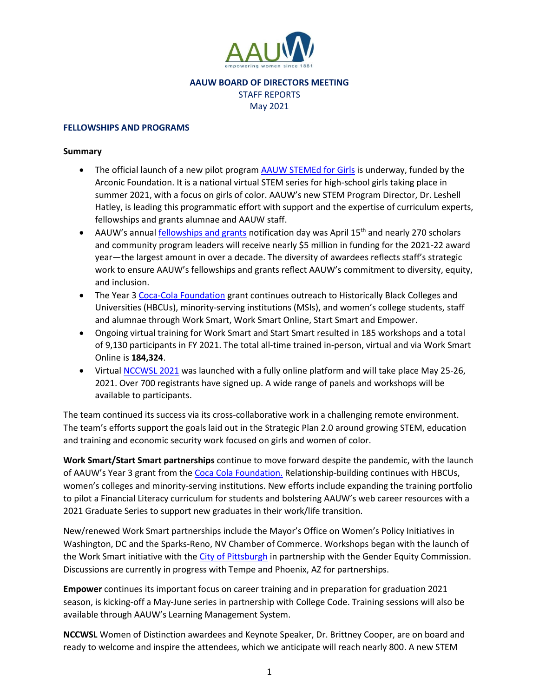

# **AAUW BOARD OF DIRECTORS MEETING** STAFF REPORTS May 2021

### **FELLOWSHIPS AND PROGRAMS**

# **Summary**

- The official launch of a new pilot program [AAUW STEMEd for Girls](https://www.aauw.org/resources/programs/stemed-for-girls/) is underway, funded by the Arconic Foundation. It is a national virtual STEM series for high-school girls taking place in summer 2021, with a focus on girls of color. AAUW's new STEM Program Director, Dr. Leshell Hatley, is leading this programmatic effort with support and the expertise of curriculum experts, fellowships and grants alumnae and AAUW staff.
- AAUW's annual [fellowships and grants](https://www.aauw.org/resources/programs/fellowships-grants/) notification day was April 15<sup>th</sup> and nearly 270 scholars and community program leaders will receive nearly \$5 million in funding for the 2021-22 award year—the largest amount in over a decade. The diversity of awardees reflects staff's strategic work to ensure AAUW's fellowships and grants reflect AAUW's commitment to diversity, equity, and inclusion.
- The Year [3 Coca-Cola Foundation](https://www.aauw.org/about/our-partners/coca-cola-foundation/) grant continues outreach to Historically Black Colleges and Universities (HBCUs), minority-serving institutions (MSIs), and women's college students, staff and alumnae through Work Smart, Work Smart Online, Start Smart and Empower.
- Ongoing virtual training for Work Smart and Start Smart resulted in 185 workshops and a total of 9,130 participants in FY 2021. The total all-time trained in-person, virtual and via Work Smart Online is **184,324**.
- Virtual [NCCWSL 2021](https://www.aauw.org/resources/events/nccwsl/) was launched with a fully online platform and will take place May 25-26, 2021. Over 700 registrants have signed up. A wide range of panels and workshops will be available to participants.

The team continued its success via its cross-collaborative work in a challenging remote environment. The team's efforts support the goals laid out in the Strategic Plan 2.0 around growing STEM, education and training and economic security work focused on girls and women of color.

**Work Smart/Start Smart partnerships** continue to move forward despite the pandemic, with the launch of AAUW's Year 3 grant from the [Coca Cola Foundation.](https://www.aauw.org/about/our-partners/coca-cola-foundation/) Relationship-building continues with HBCUs, women's colleges and minority-serving institutions. New efforts include expanding the training portfolio to pilot a Financial Literacy curriculum for students and bolstering AAUW's web career resources with a 2021 Graduate Series to support new graduates in their work/life transition.

New/renewed Work Smart partnerships include the Mayor's Office on Women's Policy Initiatives in Washington, DC and the Sparks-Reno, NV Chamber of Commerce. Workshops began with the launch of the Work Smart initiative with th[e City of Pittsburgh](https://www.aauw.org/resources/programs/salary/work-smart/pittsburgh/) in partnership with the Gender Equity Commission. Discussions are currently in progress with Tempe and Phoenix, AZ for partnerships.

**Empower** continues its important focus on career training and in preparation for graduation 2021 season, is kicking-off a May-June series in partnership with College Code. Training sessions will also be available through AAUW's Learning Management System.

**NCCWSL** Women of Distinction awardees and Keynote Speaker, Dr. Brittney Cooper, are on board and ready to welcome and inspire the attendees, which we anticipate will reach nearly 800. A new STEM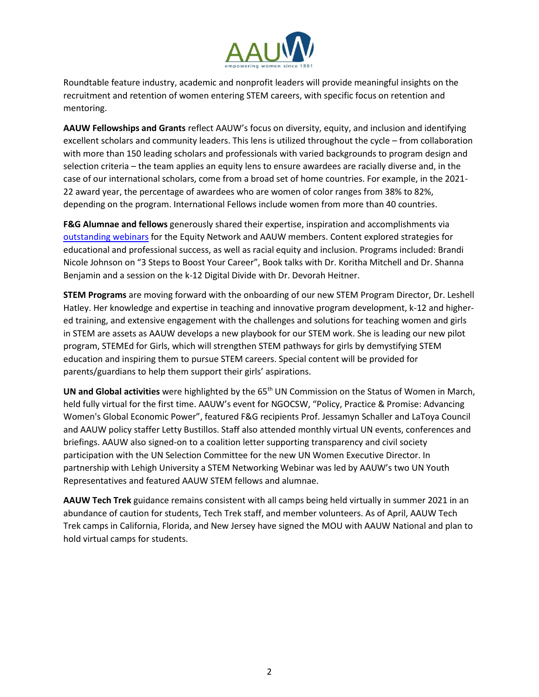

Roundtable feature industry, academic and nonprofit leaders will provide meaningful insights on the recruitment and retention of women entering STEM careers, with specific focus on retention and mentoring.

**AAUW Fellowships and Grants** reflect AAUW's focus on diversity, equity, and inclusion and identifying excellent scholars and community leaders. This lens is utilized throughout the cycle – from collaboration with more than 150 leading scholars and professionals with varied backgrounds to program design and selection criteria – the team applies an equity lens to ensure awardees are racially diverse and, in the case of our international scholars, come from a broad set of home countries. For example, in the 2021- 22 award year, the percentage of awardees who are women of color ranges from 38% to 82%, depending on the program. International Fellows include women from more than 40 countries.

**F&G Alumnae and fellows** generously shared their expertise, inspiration and accomplishments via [outstanding webinars](https://www.aauw.org/resources/programs/webinars/) for the Equity Network and AAUW members. Content explored strategies for educational and professional success, as well as racial equity and inclusion. Programs included: Brandi Nicole Johnson on "3 Steps to Boost Your Career", Book talks with Dr. Koritha Mitchell and Dr. Shanna Benjamin and a session on the k-12 Digital Divide with Dr. Devorah Heitner.

**STEM Programs** are moving forward with the onboarding of our new STEM Program Director, Dr. Leshell Hatley. Her knowledge and expertise in teaching and innovative program development, k-12 and highered training, and extensive engagement with the challenges and solutions for teaching women and girls in STEM are assets as AAUW develops a new playbook for our STEM work. She is leading our new pilot program, STEMEd for Girls, which will strengthen STEM pathways for girls by demystifying STEM education and inspiring them to pursue STEM careers. Special content will be provided for parents/guardians to help them support their girls' aspirations.

UN and Global activities were highlighted by the 65<sup>th</sup> UN Commission on the Status of Women in March, held fully virtual for the first time. AAUW's event for NGOCSW, "Policy, Practice & Promise: Advancing Women's Global Economic Power", featured F&G recipients Prof. Jessamyn Schaller and LaToya Council and AAUW policy staffer Letty Bustillos. Staff also attended monthly virtual UN events, conferences and briefings. AAUW also signed-on to a coalition letter supporting transparency and civil society participation with the UN Selection Committee for the new UN Women Executive Director. In partnership with Lehigh University a STEM Networking Webinar was led by AAUW's two UN Youth Representatives and featured AAUW STEM fellows and alumnae.

**AAUW Tech Trek** guidance remains consistent with all camps being held virtually in summer 2021 in an abundance of caution for students, Tech Trek staff, and member volunteers. As of April, AAUW Tech Trek camps in California, Florida, and New Jersey have signed the MOU with AAUW National and plan to hold virtual camps for students.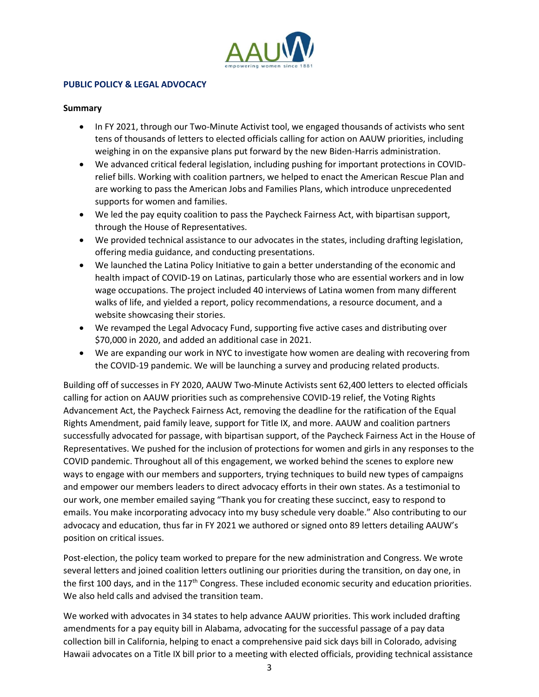

# **PUBLIC POLICY & LEGAL ADVOCACY**

#### **Summary**

- In FY 2021, through our Two-Minute Activist tool, we engaged thousands of activists who sent tens of thousands of letters to elected officials calling for action on AAUW priorities, including weighing in on the expansive plans put forward by the new Biden-Harris administration.
- We advanced critical federal legislation, including pushing for important protections in COVIDrelief bills. Working with coalition partners, we helped to enact the American Rescue Plan and are working to pass the American Jobs and Families Plans, which introduce unprecedented supports for women and families.
- We led the pay equity coalition to pass the Paycheck Fairness Act, with bipartisan support, through the House of Representatives.
- We provided technical assistance to our advocates in the states, including drafting legislation, offering media guidance, and conducting presentations.
- We launched the Latina Policy Initiative to gain a better understanding of the economic and health impact of COVID-19 on Latinas, particularly those who are essential workers and in low wage occupations. The project included 40 interviews of Latina women from many different walks of life, and yielded a report, policy recommendations, a resource document, and a website showcasing their stories.
- We revamped the Legal Advocacy Fund, supporting five active cases and distributing over \$70,000 in 2020, and added an additional case in 2021.
- We are expanding our work in NYC to investigate how women are dealing with recovering from the COVID-19 pandemic. We will be launching a survey and producing related products.

Building off of successes in FY 2020, AAUW Two-Minute Activists sent 62,400 letters to elected officials calling for action on AAUW priorities such as comprehensive COVID-19 relief, the Voting Rights Advancement Act, the Paycheck Fairness Act, removing the deadline for the ratification of the Equal Rights Amendment, paid family leave, support for Title IX, and more. AAUW and coalition partners successfully advocated for passage, with bipartisan support, of the Paycheck Fairness Act in the House of Representatives. We pushed for the inclusion of protections for women and girls in any responses to the COVID pandemic. Throughout all of this engagement, we worked behind the scenes to explore new ways to engage with our members and supporters, trying techniques to build new types of campaigns and empower our members leaders to direct advocacy efforts in their own states. As a testimonial to our work, one member emailed saying "Thank you for creating these succinct, easy to respond to emails. You make incorporating advocacy into my busy schedule very doable." Also contributing to our advocacy and education, thus far in FY 2021 we authored or signed onto 89 letters detailing AAUW's position on critical issues.

Post-election, the policy team worked to prepare for the new administration and Congress. We wrote several letters and joined coalition letters outlining our priorities during the transition, on day one, in the first 100 days, and in the 117<sup>th</sup> Congress. These included economic security and education priorities. We also held calls and advised the transition team.

We worked with advocates in 34 states to help advance AAUW priorities. This work included drafting amendments for a pay equity bill in Alabama, advocating for the successful passage of a pay data collection bill in California, helping to enact a comprehensive paid sick days bill in Colorado, advising Hawaii advocates on a Title IX bill prior to a meeting with elected officials, providing technical assistance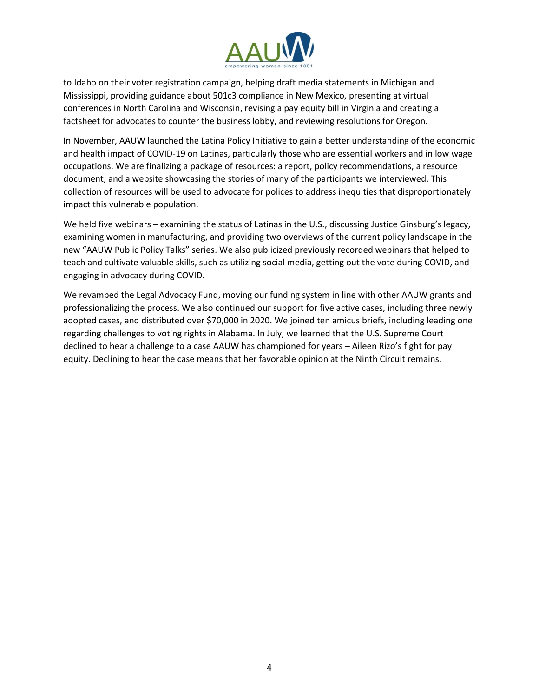

to Idaho on their voter registration campaign, helping draft media statements in Michigan and Mississippi, providing guidance about 501c3 compliance in New Mexico, presenting at virtual conferences in North Carolina and Wisconsin, revising a pay equity bill in Virginia and creating a factsheet for advocates to counter the business lobby, and reviewing resolutions for Oregon.

In November, AAUW launched the Latina Policy Initiative to gain a better understanding of the economic and health impact of COVID-19 on Latinas, particularly those who are essential workers and in low wage occupations. We are finalizing a package of resources: a report, policy recommendations, a resource document, and a website showcasing the stories of many of the participants we interviewed. This collection of resources will be used to advocate for polices to address inequities that disproportionately impact this vulnerable population.

We held five webinars – examining the status of Latinas in the U.S., discussing Justice Ginsburg's legacy, examining women in manufacturing, and providing two overviews of the current policy landscape in the new "AAUW Public Policy Talks" series. We also publicized previously recorded webinars that helped to teach and cultivate valuable skills, such as utilizing social media, getting out the vote during COVID, and engaging in advocacy during COVID.

We revamped the Legal Advocacy Fund, moving our funding system in line with other AAUW grants and professionalizing the process. We also continued our support for five active cases, including three newly adopted cases, and distributed over \$70,000 in 2020. We joined ten amicus briefs, including leading one regarding challenges to voting rights in Alabama. In July, we learned that the U.S. Supreme Court declined to hear a challenge to a case AAUW has championed for years – Aileen Rizo's fight for pay equity. Declining to hear the case means that her favorable opinion at the Ninth Circuit remains.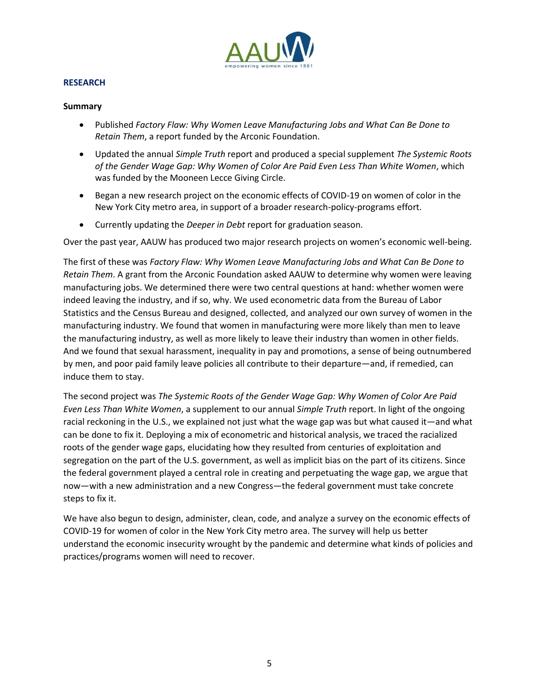

### **RESEARCH**

### **Summary**

- Published *Factory Flaw: Why Women Leave Manufacturing Jobs and What Can Be Done to Retain Them*, a report funded by the Arconic Foundation.
- Updated the annual *Simple Truth* report and produced a special supplement *The Systemic Roots of the Gender Wage Gap: Why Women of Color Are Paid Even Less Than White Women*, which was funded by the Mooneen Lecce Giving Circle.
- Began a new research project on the economic effects of COVID-19 on women of color in the New York City metro area, in support of a broader research-policy-programs effort.
- Currently updating the *Deeper in Debt* report for graduation season.

Over the past year, AAUW has produced two major research projects on women's economic well-being.

The first of these was *Factory Flaw: Why Women Leave Manufacturing Jobs and What Can Be Done to Retain Them*. A grant from the Arconic Foundation asked AAUW to determine why women were leaving manufacturing jobs. We determined there were two central questions at hand: whether women were indeed leaving the industry, and if so, why. We used econometric data from the Bureau of Labor Statistics and the Census Bureau and designed, collected, and analyzed our own survey of women in the manufacturing industry. We found that women in manufacturing were more likely than men to leave the manufacturing industry, as well as more likely to leave their industry than women in other fields. And we found that sexual harassment, inequality in pay and promotions, a sense of being outnumbered by men, and poor paid family leave policies all contribute to their departure—and, if remedied, can induce them to stay.

The second project was *The Systemic Roots of the Gender Wage Gap: Why Women of Color Are Paid Even Less Than White Women*, a supplement to our annual *Simple Truth* report. In light of the ongoing racial reckoning in the U.S., we explained not just what the wage gap was but what caused it—and what can be done to fix it. Deploying a mix of econometric and historical analysis, we traced the racialized roots of the gender wage gaps, elucidating how they resulted from centuries of exploitation and segregation on the part of the U.S. government, as well as implicit bias on the part of its citizens. Since the federal government played a central role in creating and perpetuating the wage gap, we argue that now—with a new administration and a new Congress—the federal government must take concrete steps to fix it.

We have also begun to design, administer, clean, code, and analyze a survey on the economic effects of COVID-19 for women of color in the New York City metro area. The survey will help us better understand the economic insecurity wrought by the pandemic and determine what kinds of policies and practices/programs women will need to recover.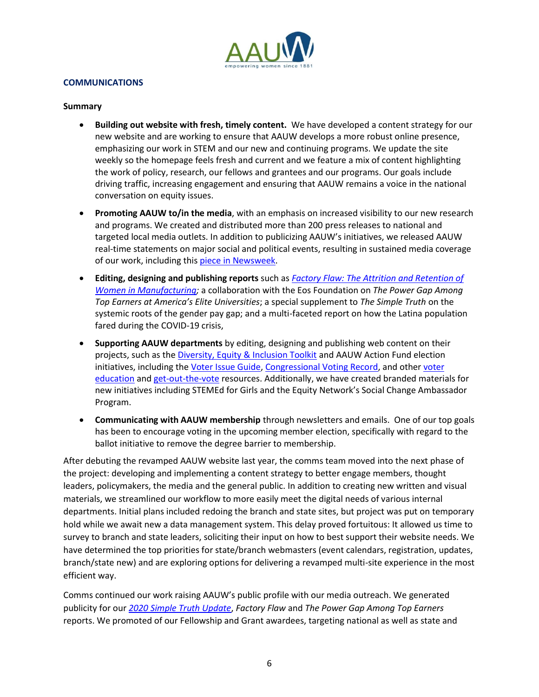

# **COMMUNICATIONS**

#### **Summary**

- **Building out website with fresh, timely content.** We have developed a content strategy for our new website and are working to ensure that AAUW develops a more robust online presence, emphasizing our work in STEM and our new and continuing programs. We update the site weekly so the homepage feels fresh and current and we feature a mix of content highlighting the work of policy, research, our fellows and grantees and our programs. Our goals include driving traffic, increasing engagement and ensuring that AAUW remains a voice in the national conversation on equity issues.
- **Promoting AAUW to/in the media**, with an emphasis on increased visibility to our new research and programs. We created and distributed more than 200 press releases to national and targeted local media outlets. In addition to publicizing AAUW's initiatives, we released AAUW real-time statements on major social and political events, resulting in sustained media coverage of our work, including this [piece in Newsweek.](https://www.newsweek.com/covid-19-nightmare-working-moms-policymakers-must-react-opinion-1542143)
- **Editing, designing and publishing reports** such as *[Factory Flaw: The Attrition and Retention of](https://www.aauw.org/resources/research/factory-flaw/)  Women in [Manufacturing;](https://www.aauw.org/resources/research/factory-flaw/)* a collaboration with the Eos Foundation on *The Power Gap Among Top Earners at America's Elite Universities*; a special supplement to *The Simple Truth* on the systemic roots of the gender pay gap; and a multi-faceted report on how the Latina population fared during the COVID-19 crisis,
- **Supporting AAUW departments** by editing, designing and publishing web content on their projects, such as the [Diversity, Equity & Inclusion Toolkit](https://www.aauw.org/resources/member/governance-tools/dei-toolkit/) and AAUW Action Fund election initiatives, including the [Voter Issue Guide,](https://www.aauwaction.org/wp-content/uploads/2020/04/AAUW-2020-Voter-Issue-Guide.pdf) [Congressional Voting Record,](https://www.aauwaction.org/wp-content/uploads/2020/10/AAUW-2020-116thCVR.pdf) and other [voter](https://www.aauwaction.org/voter-education/)  [education](https://www.aauwaction.org/voter-education/) an[d get-out-the-vote](https://www.aauwaction.org/voter-registration/) resources. Additionally, we have created branded materials for new initiatives including STEMEd for Girls and the Equity Network's Social Change Ambassador Program.
- **Communicating with AAUW membership** through newsletters and emails. One of our top goals has been to encourage voting in the upcoming member election, specifically with regard to the ballot initiative to remove the degree barrier to membership.

After debuting the revamped AAUW website last year, the comms team moved into the next phase of the project: developing and implementing a content strategy to better engage members, thought leaders, policymakers, the media and the general public. In addition to creating new written and visual materials, we streamlined our workflow to more easily meet the digital needs of various internal departments. Initial plans included redoing the branch and state sites, but project was put on temporary hold while we await new a data management system. This delay proved fortuitous: It allowed us time to survey to branch and state leaders, soliciting their input on how to best support their website needs. We have determined the top priorities for state/branch webmasters (event calendars, registration, updates, branch/state new) and are exploring options for delivering a revamped multi-site experience in the most efficient way.

Comms continued our work raising AAUW's public profile with our media outreach. We generated publicity for our *[2020 Simple Truth Update](https://www.aauw.org/app/uploads/2020/12/SimpleTruth_2.1.pdf)*, *Factory Flaw* and *The Power Gap Among Top Earners* reports. We promoted of our Fellowship and Grant awardees, targeting national as well as state and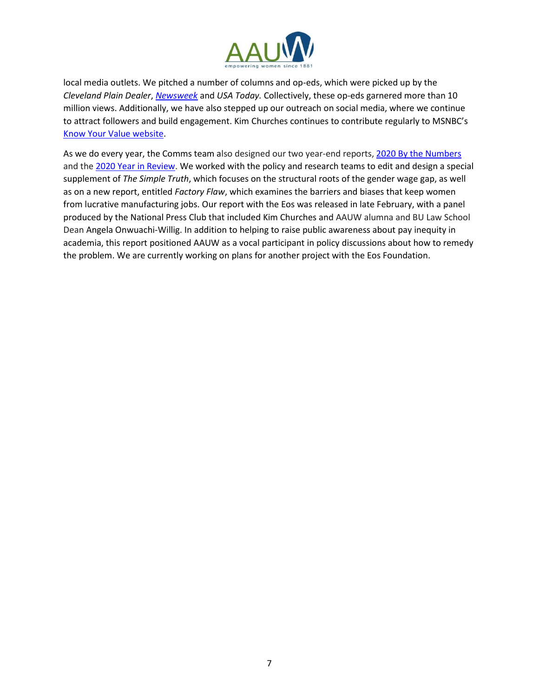

local media outlets. We pitched a number of columns and op-eds, which were picked up by the *Cleveland Plain Dealer*, *[Newsweek](https://www.newsweek.com/covid-19-nightmare-working-moms-policymakers-must-react-opinion-1542143)* and *USA Today.* Collectively, these op-eds garnered more than 10 million views. Additionally, we have also stepped up our outreach on social media, where we continue to attract followers and build engagement. Kim Churches continues to contribute regularly to MSNBC's [Know Your Value website.](https://www.nbcnews.com/know-your-value/feature/feeling-invisible-4-ways-you-can-be-seen-remote-worker-ncna1265361)

As we do every year, the Comms team also designed our two year-end reports[, 2020 By the Numbers](https://www.aauw.org/app/uploads/2021/01/2020-AAUW_byTheNumbers_FINAL.pdf) and th[e 2020 Year in Review.](https://www.aauw.org/about/years-in-review/2020-review/) We worked with the policy and research teams to edit and design a special supplement of *The Simple Truth*, which focuses on the structural roots of the gender wage gap, as well as on a new report, entitled *Factory Flaw*, which examines the barriers and biases that keep women from lucrative manufacturing jobs. Our report with the Eos was released in late February, with a panel produced by the National Press Club that included Kim Churches and AAUW alumna and BU Law School Dean Angela Onwuachi-Willig. In addition to helping to raise public awareness about pay inequity in academia, this report positioned AAUW as a vocal participant in policy discussions about how to remedy the problem. We are currently working on plans for another project with the Eos Foundation.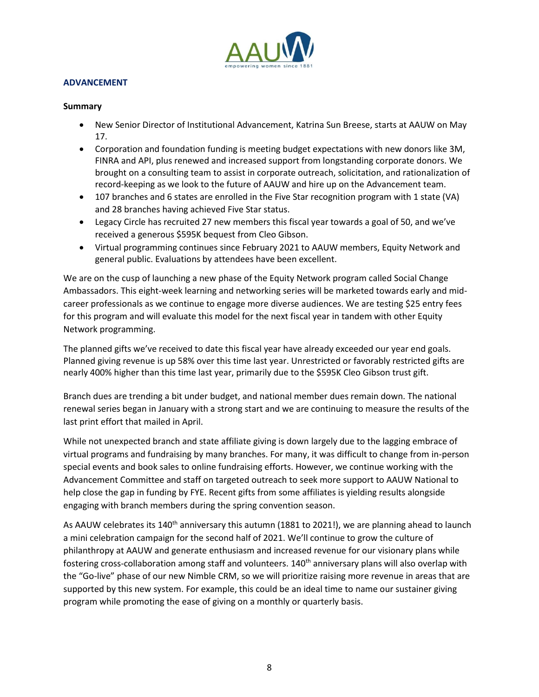

# **ADVANCEMENT**

#### **Summary**

- New Senior Director of Institutional Advancement, Katrina Sun Breese, starts at AAUW on May 17.
- Corporation and foundation funding is meeting budget expectations with new donors like 3M, FINRA and API, plus renewed and increased support from longstanding corporate donors. We brought on a consulting team to assist in corporate outreach, solicitation, and rationalization of record-keeping as we look to the future of AAUW and hire up on the Advancement team.
- 107 branches and 6 states are enrolled in the Five Star recognition program with 1 state (VA) and 28 branches having achieved Five Star status.
- Legacy Circle has recruited 27 new members this fiscal year towards a goal of 50, and we've received a generous \$595K bequest from Cleo Gibson.
- Virtual programming continues since February 2021 to AAUW members, Equity Network and general public. Evaluations by attendees have been excellent.

We are on the cusp of launching a new phase of the Equity Network program called Social Change Ambassadors. This eight-week learning and networking series will be marketed towards early and midcareer professionals as we continue to engage more diverse audiences. We are testing \$25 entry fees for this program and will evaluate this model for the next fiscal year in tandem with other Equity Network programming.

The planned gifts we've received to date this fiscal year have already exceeded our year end goals. Planned giving revenue is up 58% over this time last year. Unrestricted or favorably restricted gifts are nearly 400% higher than this time last year, primarily due to the \$595K Cleo Gibson trust gift.

Branch dues are trending a bit under budget, and national member dues remain down. The national renewal series began in January with a strong start and we are continuing to measure the results of the last print effort that mailed in April.

While not unexpected branch and state affiliate giving is down largely due to the lagging embrace of virtual programs and fundraising by many branches. For many, it was difficult to change from in-person special events and book sales to online fundraising efforts. However, we continue working with the Advancement Committee and staff on targeted outreach to seek more support to AAUW National to help close the gap in funding by FYE. Recent gifts from some affiliates is yielding results alongside engaging with branch members during the spring convention season.

As AAUW celebrates its 140<sup>th</sup> anniversary this autumn (1881 to 2021!), we are planning ahead to launch a mini celebration campaign for the second half of 2021. We'll continue to grow the culture of philanthropy at AAUW and generate enthusiasm and increased revenue for our visionary plans while fostering cross-collaboration among staff and volunteers. 140<sup>th</sup> anniversary plans will also overlap with the "Go-live" phase of our new Nimble CRM, so we will prioritize raising more revenue in areas that are supported by this new system. For example, this could be an ideal time to name our sustainer giving program while promoting the ease of giving on a monthly or quarterly basis.